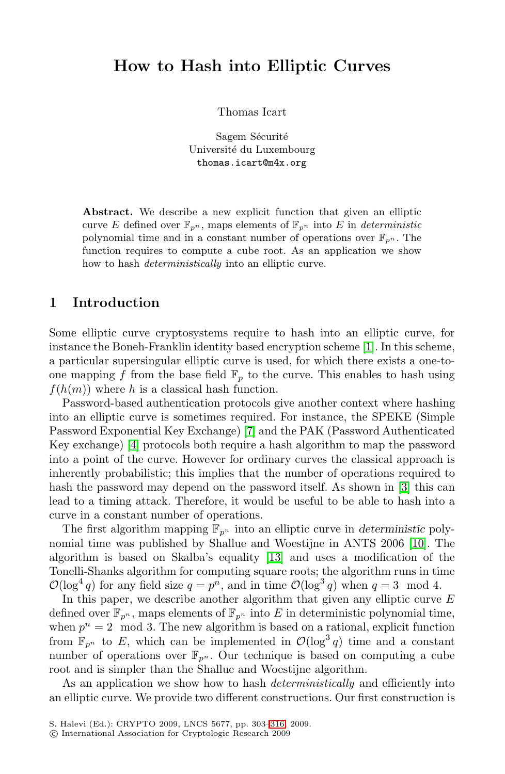## **How to Hash into Elliptic Curves**

Thomas Icart

Sagem Sécurité Université du Luxembourg thomas.icart@m4x.org

**Abstract.** We describe a new explicit function that given an elliptic curve *E* defined over  $\mathbb{F}_{p^n}$ , maps elements of  $\mathbb{F}_{p^n}$  into *E* in *deterministic* polynomial time and in a constant nu[mb](#page-11-0)er of operations over  $\mathbb{F}_{p^n}$ . The function requires to compute a cube root. As an application we show how to hash *deterministically* into an elliptic curve.

## **1 Introduction**

Some elliptic curv[e](#page-12-0) [c](#page-12-0)ryptosystems require to hash into an elliptic curve, for instance the Boneh-Franklin identity based encryption scheme [1]. In this scheme, a particular supersingular elliptic curve is used, for which there exists a one-toone mapping f from the base field  $\mathbb{F}_p$  to the cur[ve.](#page-12-1) This enables to hash using  $f(h(m))$  where h is a classical hash function.

Password-based authentication protocols give another context where hashing into an elliptic curve is sometimes required. For instance, the SPEKE (Simple Password Exponential Key Exchange) [7] and the P[AK \(](#page-12-2)Password Authenticated Key exchange) [4] proto[col](#page-12-3)s both require a hash algorithm to map the password into a point of the curve. However for ordinary curves the classical approach is inherently probabilistic; this implies that the number of operations required to hash the password may depend on the password itself. As shown in [3] this can lead to a timing attack. Therefore, it would be useful to be able to hash into a curve in a constant number of operations.

The first algorithm mapping  $\mathbb{F}_{p^n}$  into an elliptic curve in *deterministic* polynomial time was published by Shallue and Woestijne in ANTS 2006 [10]. The algorithm is based on Skalba's equality [13] and uses a modification of the Tonelli-Shanks algorithm for computing square roots; the algorithm runs in time  $\mathcal{O}(\log^4 q)$  for any field size  $q = p^n$ , and in time  $\mathcal{O}(\log^3 q)$  when  $q = 3 \mod 4$ .

In this paper, we describe another algorithm that given any elliptic curve  $E$ defined over  $\mathbb{F}_{p^n}$ , maps [elem](#page-13-0)ents of  $\mathbb{F}_{p^n}$  into E in deterministic polynomial time, when  $p^n = 2 \mod 3$ . The new algorithm is based on a rational, explicit function from  $\mathbb{F}_{p^n}$  to E, which can be implemented in  $\mathcal{O}(\log^3 q)$  time and a constant number of operations over  $\mathbb{F}_{p^n}$ . Our technique is based on computing a cube root and is simpler than the Shallue and Woestijne algorithm.

As an application we show how to hash *deterministically* and efficiently into an elliptic curve. We provide two different constructions. Our first construction is

S. Halevi (Ed.): CRYPTO 2009, LNCS 5677, pp. 303–316, 2009.

<sup>-</sup>c International Association for Cryptologic Research 2009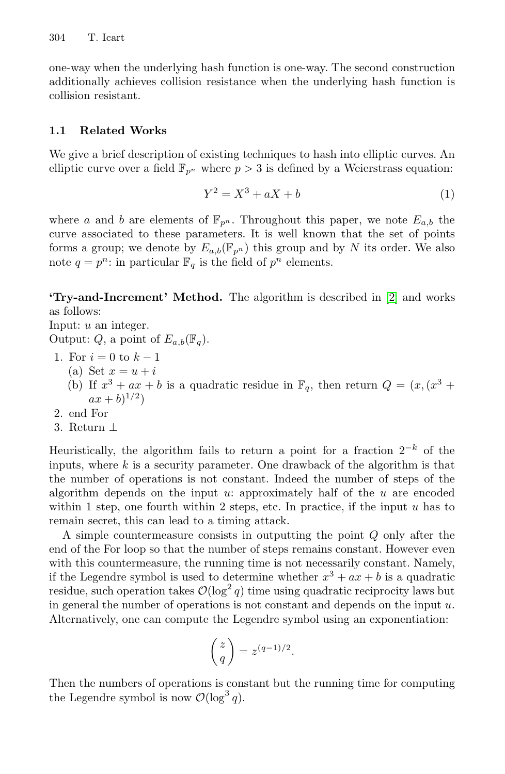one-way when the underlying hash function is one-way. The second construction additionally achieves collision resistance when the underlying hash function is collision resistant.

#### **1.1 Related Works**

We give a brief description of existing techniques to hash into elliptic curves. An elliptic curve over a field  $\mathbb{F}_{p^n}$  where  $p > 3$  is defined by a Weierstrass equation:

<span id="page-1-0"></span>
$$
Y^2 = X^3 + aX + b \tag{1}
$$

where a and b are elements of  $\mathbb{F}_{n^n}$ . Throughout this paper, we note  $E_{a,b}$  the curve associated to these parameters. It is well known that the set of points forms a group; we denote by  $E_{a,b}(\mathbb{F}_{p^n})$  this group and by N its order. We also note  $q = p^n$ : in particular  $\mathbb{F}_q$  is the field of  $p^n$  elements.

**'Try-and-Increment' Method.** The algorithm is described in [2] and works as follows:

Input: u an integer.

Output:  $Q$ , a point of  $E_{a,b}(\mathbb{F}_q)$ .

- 1. For  $i = 0$  to  $k 1$ 
	- (a) Set  $x = u + i$
	- (b) If  $x^3 + ax + b$  is a quadratic residue in  $\mathbb{F}_q$ , then return  $Q = (x,(x^3 +$  $ax + b$ <sup>1/2</sup>)

3. Return ⊥

Heuristically, the algorithm fails to return a point for a fraction  $2^{-k}$  of the inputs, where  $k$  is a security parameter. One drawback of the algorithm is that the number of operations is not constant. Indeed the number of steps of the algorithm depends on the input  $u$ : approximately half of the  $u$  are encoded within 1 step, one fourth within 2 steps, etc. In practice, if the input  $u$  has to remain secret, this can lead to a timing attack.

A simple countermeasure consists in outputting the point Q only after the end of the For loop so that the number of steps remains constant. However even with this countermeasure, the running time is not necessarily constant. Namely, if the Legendre symbol is used to determine whether  $x^3 + ax + b$  is a quadratic residue, such operation takes  $\mathcal{O}(\log^2 q)$  time using quadratic reciprocity laws but in general the number of operations is not constant and depends on the input  $u$ . Alternatively, one can compute the Legendre symbol using an exponentiation:

$$
\binom{z}{q} = z^{(q-1)/2}.
$$

Then the numbers of operations is constant but the running time for computing the Legendre symbol is now  $\mathcal{O}(\log^3 q)$ .

<sup>2.</sup> end For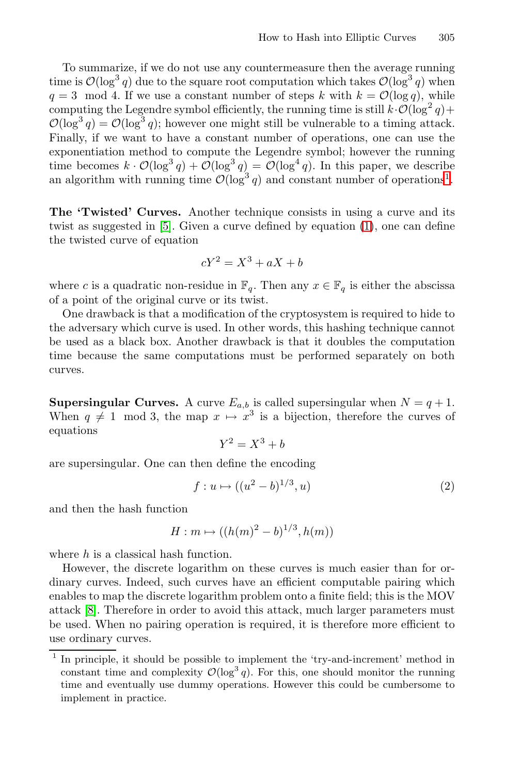To summarize, if we do not use any countermeasure the[n](#page-2-0) the average running time is  $\mathcal{O}(\log^3 q)$  due to the square root computation which takes  $\mathcal{O}(\log^3 q)$  when  $q = 3 \mod 4$ . If we use a constant number of steps k with  $k = \mathcal{O}(\log q)$ , while computing the Legendre symbol efficiently, the running time is still  $k \cdot \mathcal{O}(\log^2 q) +$  $\mathcal{O}(\log^3 q) = \mathcal{O}(\log^3 q)$  $\mathcal{O}(\log^3 q) = \mathcal{O}(\log^3 q)$  $\mathcal{O}(\log^3 q) = \mathcal{O}(\log^3 q)$ ; however one might [sti](#page-1-0)ll be vulnerable to a timing attack. Finally, if we want to have a constant number of operations, one can use the exponentiation method to compute the Legendre symbol; however the running time becomes  $k \cdot \mathcal{O}(\log^3 q) + \mathcal{O}(\log^3 q) = \mathcal{O}(\log^4 q)$ . In this paper, we describe an algorithm with running time  $\mathcal{O}(\log^3 q)$  and constant number of operations<sup>1</sup>.

**The 'Twisted' Curves.** Another technique consists in using a curve and its twist as suggested in [5]. Given a curve defined by equation (1), one can define the twisted curve of equation

$$
cY^2 = X^3 + aX + b
$$

where c is a quadratic non-residue in  $\mathbb{F}_q$ . Then any  $x \in \mathbb{F}_q$  is either the abscissa of a point of the original curve or its twist.

One drawback is that a modification of the cryptosystem is required to hide to the adversary which curve is used. In other words, this hashing technique cannot be used as a black box. Another drawback is that it doubles the computation time because the same computations must be performed separately on both curves.

**Supersingular Curves.** A curve  $E_{a,b}$  is called supersingular when  $N = q + 1$ . When  $q \neq 1 \mod 3$ , the map  $x \mapsto x^3$  is a bijection, therefore the curves of equations

<span id="page-2-1"></span>
$$
Y^2 = X^3 + b
$$

are supersingular. One can then define the encoding

$$
f: u \mapsto ((u^2 - b)^{1/3}, u) \tag{2}
$$

and then the hash function

$$
H: m \mapsto ((h(m)^2 - b)^{1/3}, h(m))
$$

where  $h$  is a classical hash function.

<span id="page-2-0"></span>However, the discrete logarithm on these curves is much easier than for ordinary curves. Indeed, such curves have an efficient computable pairing which enables to map the discrete logarithm problem onto a finite field; this is the MOV attack [8]. Therefore in order to avoid this attack, much larger parameters must be used. When no pairing operation is required, it is therefore more efficient to use ordinary curves.

In principle, it should be possible to implement the 'try-and-increment' method in constant time and complexity  $\mathcal{O}(\log^3 q)$ . For this, one should monitor the running time and eventually use dummy operations. However this could be cumbersome to implement in practice.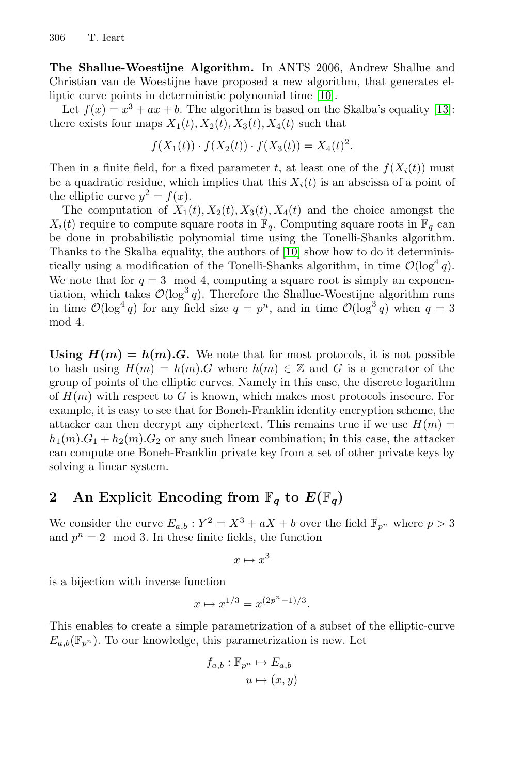**The Shallue-Woestijne Algorithm.** In ANTS 2006, Andrew Shallue and Christian van de Woestijne have proposed a new algorithm, that generates elliptic curve points in deterministic polynomial time [10].

Let  $f(x) = x^3 + ax + b$ . The algorithm is based on the Skalba's equality [13]: there exists four maps  $X_1(t)$ ,  $X_2(t)$ ,  $X_3(t)$ ,  $X_4(t)$  such that

$$
f(X_1(t)) \cdot f(X_2(t)) \cdot f(X_3(t)) = X_4(t)^2.
$$

Then in a finite field, for a fixed parameter t, at least one of the  $f(X_i(t))$  must be a quadratic residue, which implies that this  $X_i(t)$  is an abscissa of a point of the elliptic curve  $y^2 = f(x)$ .

The computation of  $X_1(t), X_2(t), X_3(t), X_4(t)$  and the choice amongst the  $X_i(t)$  require to compute square roots in  $\mathbb{F}_q$ . Computing square roots in  $\mathbb{F}_q$  can be done in probabilistic polynomial time using the Tonelli-Shanks algorithm. Thanks to the Skalba equality, the authors of [10] show how to do it deterministically using a modification of the Tonelli-Shanks algorithm, in time  $\mathcal{O}(\log^4 q)$ . We note that for  $q = 3 \mod 4$ , computing a square root is simply an exponentiation, which takes  $\mathcal{O}(\log^3 q)$ . Therefore the Shallue-Woestijne algorithm runs in time  $\mathcal{O}(\log^4 q)$  for any field size  $q = p^n$ , and in time  $\mathcal{O}(\log^3 q)$  when  $q = 3$ mod 4.

**Using**  $H(m) = h(m) \cdot G$ . We note that for most protocols, it is not possible to hash using  $H(m) = h(m) \cdot G$  where  $h(m) \in \mathbb{Z}$  and G is a generator of the group of points of the elliptic curves. Namely in this case, the discrete logarithm of  $H(m)$  with respect to G is known, which makes most protocols insecure. For example, it is easy to see that for Boneh-Franklin identity encryption scheme, the attacker can then decrypt any ciphertext. This remains true if we use  $H(m)$  =  $h_1(m).G_1 + h_2(m).G_2$  or any such linear combination; in this case, the attacker can compute one Boneh-Franklin private key from a set of other private keys by solving a linear system.

## 2 An Explicit Encoding from  $\mathbb{F}_q$  to  $E(\mathbb{F}_q)$

We consider the curve  $E_{a,b}: Y^2 = X^3 + aX + b$  over the field  $\mathbb{F}_{p^n}$  where  $p > 3$ and  $p^n = 2 \mod 3$ . In these finite fields, the function

$$
x \mapsto x^3
$$

is a bijection with inverse function

$$
x \mapsto x^{1/3} = x^{(2p^n - 1)/3}.
$$

This enables to create a simple parametrization of a subset of the elliptic-curve  $E_{a,b}(\mathbb{F}_{p^n})$ . To our knowledge, this parametrization is new. Let

$$
f_{a,b} : \mathbb{F}_{p^n} \mapsto E_{a,b}
$$

$$
u \mapsto (x, y)
$$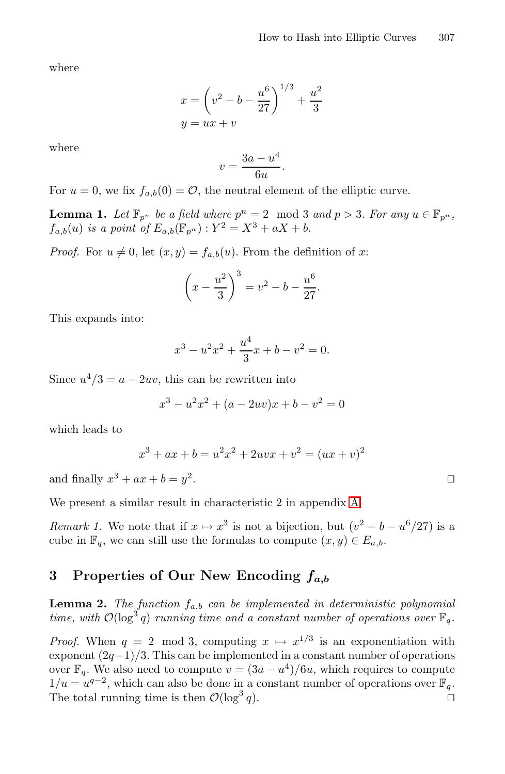<span id="page-4-0"></span>where

$$
x = \left(v^2 - b - \frac{u^6}{27}\right)^{1/3} + \frac{u^2}{3}
$$
  

$$
y = ux + v
$$

where

$$
v = \frac{3a - u^4}{6u}.
$$

For  $u = 0$ , we fix  $f_{a,b}(0) = \mathcal{O}$ , the neutral element of the elliptic curve.

**Lemma 1.** Let  $\mathbb{F}_{p^n}$  be a field where  $p^n = 2 \mod 3$  and  $p > 3$ . For any  $u \in \mathbb{F}_{p^n}$ ,  $f_{a,b}(u)$  *is a point of*  $E_{a,b}(\mathbb{F}_{p^n})$  :  $Y^2 = X^3 + aX + b$ .

*Proof.* For  $u \neq 0$ , let  $(x, y) = f_{a,b}(u)$ . From the definition of x:

$$
\left(x - \frac{u^2}{3}\right)^3 = v^2 - b - \frac{u^6}{27}.
$$

This expands into:

$$
x^3 - u^2x^2 + \frac{u^4}{3}x + b - v^2 = 0.
$$

Since  $u^4/3 = a - 2uv$ , this can be rewritten into

$$
x^3 - u^2x^2 + (a - 2uv)x + b - v^2 = 0
$$

which leads to

$$
x^3 + ax + b = u^2x^2 + 2uvx + v^2 = (ux + v)^2
$$

and finally  $x^3 + ax + b = y^2$ .

We present a similar result in characteristic 2 in appendix A.

*Remark 1.* We note that if  $x \mapsto x^3$  is not a bijection, but  $(v^2 - b - u^6/27)$  is a cube in  $\mathbb{F}_q$ , we can still use the formulas to compute  $(x, y) \in E_{a,b}$ .

## **3 Properties of Our New Encoding** *fa,b*

**Lemma 2.** *The function* f*a,b can be implemented in deterministic polynomial time, with*  $\mathcal{O}(\log^3 q)$  *running time and a constant number of operations over*  $\mathbb{F}_q$ .

*Proof.* When  $q = 2 \mod 3$ , computing  $x \mapsto x^{1/3}$  is an exponentiation with exponent  $(2q-1)/3$ . This can be implemented in a constant number of operations over  $\mathbb{F}_q$ . We also need to compute  $v = (3a - u^4)/6u$ , which requires to compute  $1/u = u^{q-2}$ , which can also be done in a constant number of operations over  $\mathbb{F}_q$ . The total running time is then  $\mathcal{O}(\log^3 q)$ . q).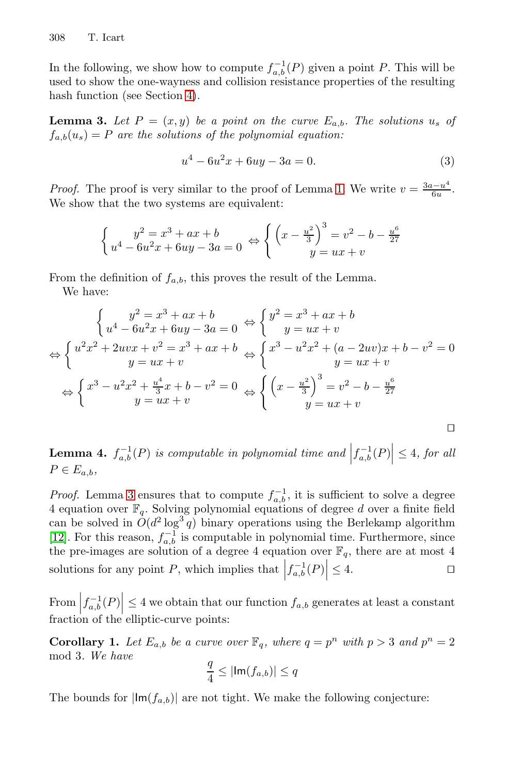In the following, we show how to compute  $f_{a,b}^{-1}(P)$  given a point P. This will be used to show the one-wayness and co[llis](#page-4-0)ion resistance properties of the resulting hash function (see Section 4).

**Lemma 3.** Let  $P = (x, y)$  be a point on the curve  $E_{a,b}$ . The solutions  $u_s$  of  $f_{a,b}(u_s) = P$  *are the solutions of the polynomial equation:* 

$$
u^4 - 6u^2x + 6uy - 3a = 0.
$$
 (3)

*Proof.* The proof is very similar to the proof of Lemma 1. We write  $v = \frac{3a - u^4}{6u}$ . We show that the two systems are equivalent:

$$
\begin{cases}\ny^2 = x^3 + ax + b \\
u^4 - 6u^2x + 6uy - 3a = 0\n\end{cases}\n\Leftrightarrow\n\begin{cases}\n\left(x - \frac{u^2}{3}\right)^3 = v^2 - b - \frac{u^6}{27} \\
y = ux + v\n\end{cases}
$$

From the definition of  $f_{a,b}$ , this proves the result of the Lemma.

We have:

<span id="page-5-1"></span>
$$
\begin{cases}\ny^2 = x^3 + ax + b \\
u^4 - 6u^2x + 6uy - 3a = 0 \Leftrightarrow \begin{cases}\ny^2 = x^3 + ax + b \\
y = ux + v\n\end{cases} \\
\Leftrightarrow \begin{cases}\nu^2x^2 + 2uvx + v^2 = x^3 + ax + b \\
y = ux + v\n\end{cases} \Leftrightarrow \begin{cases}\nx^3 - u^2x^2 + (a - 2uv)x + b - v^2 = 0 \\
y = ux + v\n\end{cases} \\
\Leftrightarrow \begin{cases}\nx^3 - u^2x^2 + \frac{u^4}{3}x + b - v^2 = 0 \\
y = ux + v\n\end{cases} \Leftrightarrow \begin{cases}\n\left(x - \frac{u^2}{3}\right)^3 = v^2 - b - \frac{u^6}{27} \\
y = ux + v\n\end{cases}
$$

**Lemma 4.**  $f_{a,b}^{-1}(P)$  *is computable in polynomial time and*  $|f_{a,b}^{-1}(P)| \leq 4$ , *for all*  $P_a \in \mathbb{R}$  $P \in E_{a,b}$ 

*Proof.* Lemma 3 ensures that to compute  $f_{a,b}^{-1}$ , it is sufficient to solve a degree 4 equation over  $\mathbb{F}_q$ . Solving polynomial equations of degree d over a finite field can be solved in  $O(d^2 \log^3 q)$  binary operations using the Berlekamp algorithm [12]. For this reason,  $f_{a,b}^{-1}$  is computable in polynomial time. Furthermore, since the pre-images are solution of a degree 4 equation over  $\mathbb{F}_q$ , there are at most 4 solutions for any point P, which implies that  $|f_{a,b}^{-1}(P)| \leq 4$ .

From  $\left|f_{a,b}^{-1}(P)\right| \leq 4$  we obtain that our function  $f_{a,b}$  generates at least a constant fraction of the elliptic-curve points:

**Corollary 1.** Let  $E_{a,b}$  be a curve over  $\mathbb{F}_q$ , where  $q = p^n$  with  $p > 3$  and  $p^n = 2$ mod 3*. We have*

<span id="page-5-0"></span>
$$
\frac{q}{4}\leq|\text{Im}(f_{a,b})|\leq q
$$

The bounds for  $|\text{Im}(f_{a,b})|$  are not tight. We make the following conjecture: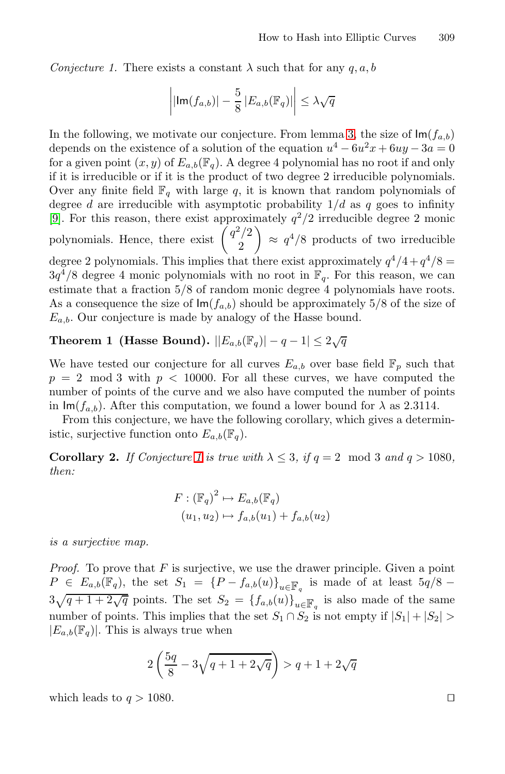*Conjecture 1.* There exists a constant  $\lambda$  such that for any  $q, a, b$ 

$$
\left| |\mathsf{Im}(f_{a,b})| - \frac{5}{8} |E_{a,b}(\mathbb{F}_q)| \right| \leq \lambda \sqrt{q}
$$

In the following, we motivate our conjecture. From lemma 3, the size of  $\text{Im}(f_{a,b})$ depends on the existence of a solution of the equation  $u^4 - 6u^2x + 6uy - 3a = 0$ for a given point  $(x, y)$  of  $E_{a,b}(\mathbb{F}_q)$ . A degree 4 polynomial has no root if and only if it is irreducible or if it is the product of two degree 2 irreducible polynomials. Over any finite field  $\mathbb{F}_q$  with large q, it is known that random polynomials of degree d are irreducible with asymptotic probability  $1/d$  as q goes to infinity [9]. For this reason, there exist approximately  $q^2/2$  irreducible degree 2 monic polynomials. Hence, there exist  $\int_{0}^{q^2/2}$ 2  $\Big) \approx q^4/8$  products of two irreducible degree 2 polynomials. This implies that there exist approximately  $q^4/4 + q^4/8 =$  $3q^4/8$  degree 4 monic polynomials with no root in  $\mathbb{F}_q$ . For this reason, we can estimate that a fraction 5/8 of random monic degree 4 polynomials have roots. As a consequence the size of  $\text{Im}(f_{a,b})$  should be approximately 5/8 of the size of E*a,b*. Our conjecture is made by analogy of the Hasse bound.

**Theore[m](#page-5-0) [1](#page-5-0)** (Hasse Bound).  $||E_{a,b}(\mathbb{F}_q)| - q - 1| \leq 2\sqrt{q}$ 

We have tested our conjecture for all curves  $E_{a,b}$  over base field  $\mathbb{F}_p$  such that  $p = 2 \mod 3$  with  $p < 10000$ . For all these curves, we have computed the number of points of the curve and we also have computed the number of points in  $\text{Im}(f_{a,b})$ . After this computation, we found a lower bound for  $\lambda$  as 2.3114.

From this conjecture, we have the following corollary, which gives a deterministic, surjective function onto  $E_{a,b}(\mathbb{F}_q)$ .

**Corollary 2.** *If Conjecture 1 is true with*  $\lambda \leq 3$ *, if*  $q = 2 \mod 3$  *and*  $q > 1080$ *, then:*

$$
F: (\mathbb{F}_q)^2 \mapsto E_{a,b}(\mathbb{F}_q)
$$
  

$$
(u_1, u_2) \mapsto f_{a,b}(u_1) + f_{a,b}(u_2)
$$

*is a surjective map.*

*Proof.* To prove that F is surjective, we use the drawer principle. Given a point  $P \in E_{a,b}(\mathbb{F}_q)$ , the set  $S_1 = {P - f_{a,b}(u)}_{u \in \mathbb{F}_q}$  is made of at least  $5q/8$  –  $3\sqrt{q+1+2\sqrt{q}}$  points. The set  $S_2 = \{f_{a,b}(u)\}_{u \in \mathbb{F}_q}$  is also made of the same number of points. This implies that the set  $S_1 \cap S_2$  is not empty if  $|S_1| + |S_2|$  $|E_{a,b}(\mathbb{F}_q)|$ . This is always true when

$$
2\left(\frac{5q}{8} - 3\sqrt{q+1+2\sqrt{q}}\right) > q+1+2\sqrt{q}
$$

which leads to  $q > 1080$ .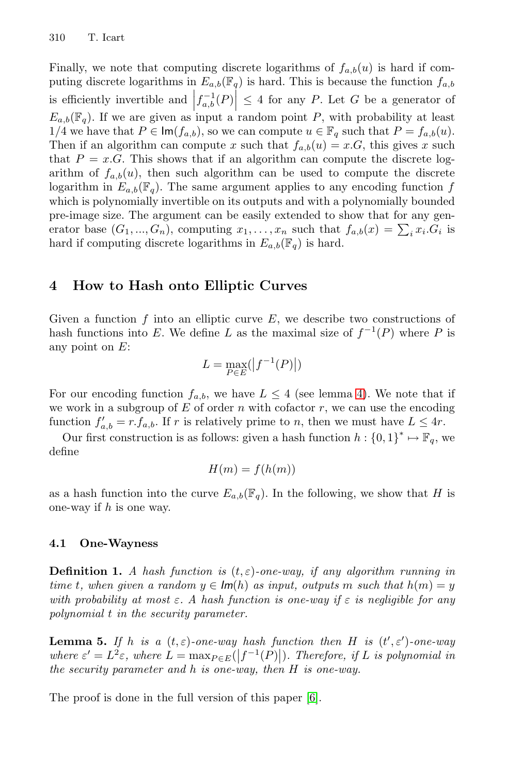Finally, we note that computing discrete logarithms of  $f_{a,b}(u)$  is hard if computing discrete logarithms in  $E_{a,b}(\mathbb{F}_q)$  is hard. This is because the function  $f_{a,b}$ is efficiently invertible and  $|f_{a,b}^{-1}(P)| \leq 4$  for any P. Let G be a generator of  $E_{a,b}(\mathbb{F}_q)$ . If we are given as input a random point P, with probability at least 1/4 we have that  $P \in \text{Im}(f_{a,b})$ , so we can compute  $u \in \mathbb{F}_q$  such that  $P = f_{a,b}(u)$ . Then if an algorithm can compute x such that  $f_{a,b}(u) = x \cdot G$ , this gives x such that  $P = x \cdot G$ . This shows that if an algorithm can compute the discrete logarithm of  $f_{a,b}(u)$ , then such algorithm can be used to compute the discrete logarithm in  $E_{a,b}(\mathbb{F}_q)$ . The same argument applies to any encoding function f which is polynomially invertible on its outputs and with a polynomially bounded pre-image size. The argument can be easily extended to show that for any generator base  $(G_1, ..., G_n)$ , computing  $x_1, ..., x_n$  such that  $f_{a,b}(x) = \sum_i x_i G_i$  is hard if computing discrete logarithms in  $E_{a,b}(\mathbb{F}_q)$  is hard.

## **4 How to Hash onto Elliptic [C](#page-5-1)urves**

Given a function  $f$  into an elliptic curve  $E$ , we describe two constructions of hash functions into E. We define L as the maximal size of  $f^{-1}(P)$  where P is any point on  $E$ :

$$
L=\max_{P\in E}(\left|f^{-1}(P)\right|)
$$

For our encoding function  $f_{a,b}$ , we have  $L \leq 4$  (see lemma 4). We note that if we work in a subgroup of  $E$  of order  $n$  with cofactor  $r$ , we can use the encoding function  $f'_{a,b} = r.f_{a,b}$ . If r is relatively prime to n, then we must have  $L \leq 4r$ .

Our first construction is as follows: given a hash function  $h: \{0,1\}^* \mapsto \mathbb{F}_q$ , we define

$$
H(m) = f(h(m))
$$

as a hash function into the curve  $E_{a,b}(\mathbb{F}_q)$ . In the following, we show that H is one-way if  $h$  is one way.

#### **4.1 One-Wayness**

**Definition 1.** *A hash function is*  $(t, \varepsilon)$ -one-way, *if any algorithm running in time* t, when given a random  $y \in Im(h)$  as input, outputs m such that  $h(m) = y$ *with probability at most*  $\varepsilon$ . A hash function is one-way if  $\varepsilon$  is negligible for any *polynomial* t *in the security parameter.*

**Lemma 5.** If h is a  $(t, \varepsilon)$ -one-way hash function then H is  $(t', \varepsilon')$ -one-way  $where \varepsilon' = L^2 \varepsilon, where L = \max_{P \in E} (|f^{-1}(P)|). Therefore, if L is polynomial in$ *the security parameter and* h *is one-way, then* H *is one-way.*

The proof is done in the full version of this paper [6].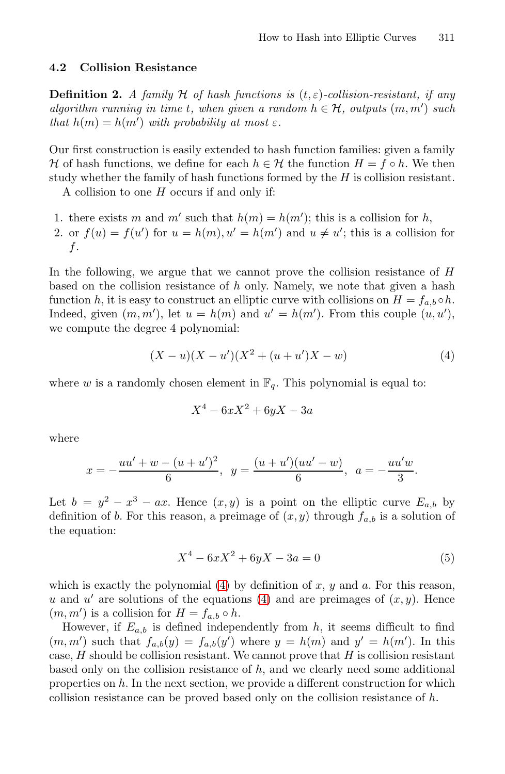## **4.2 Collision Resistance**

**Definition 2.** *A family* H *of hash functions is*  $(t, \varepsilon)$ *-collision-resistant, if any algorithm running in time t, when given a random*  $h \in \mathcal{H}$ , *outputs*  $(m, m')$  *such that*  $h(m) = h(m')$  *with probability at most*  $\varepsilon$ *.* 

Our first construction is easily extended to hash function families: given a family H of hash functions, we define for each  $h \in \mathcal{H}$  the function  $H = f \circ h$ . We then study whether the family of hash functions formed by the H is collision resistant.

A collision to one H occurs if and only if:

1. there exists m and m' such that  $h(m) = h(m')$ ; this is a collision for h, 2. or  $f(u) = f(u')$  for  $u = h(m), u' = h(m')$  and  $u \neq u'$ ; this is a collision for f.

In the following, we argue that we cannot prove the collision resistance of  $H$ based on the collision resistance of h only. Namely, we note that given a hash function h, it is easy to construct an elliptic curve with collisions on  $H = f_{a,b} \circ h$ . Indeed, given  $(m, m')$ , let  $u = h(m)$  and  $u' = h(m')$ . From this couple  $(u, u')$ , we compute the degree 4 polynomial:

$$
(X – u)(X – u')(X2 + (u + u')X – w)
$$
\n(4)

where w is a randomly chosen element in  $\mathbb{F}_q$ . This polynomial is equal to:

$$
X^4 - 6xX^2 + 6yX - 3a
$$

where

$$
x = -\frac{uu' + w - (u + u')^{2}}{6}, \ y = \frac{(u + u')(uu' - w)}{6}, \ a = -\frac{uu'w}{3}.
$$

Let  $b = y^2 - x^3 - ax$ . Hence  $(x, y)$  is a point on the elliptic curve  $E_{a,b}$  by definition of b. For this reason, a preimage of  $(x, y)$  through  $f_{a,b}$  is a solution of the equation:

$$
X^4 - 6xX^2 + 6yX - 3a = 0
$$
\n(5)

which is exactly the polynomial  $(4)$  by definition of x, y and a. For this reason, u and u' are solutions of the equations (4) and are preimages of  $(x, y)$ . Hence  $(m, m')$  is a collision for  $H = f_{a,b} \circ h$ .

However, if  $E_{a,b}$  is defined independently from  $h$ , it seems difficult to find  $(m, m')$  such that  $f_{a,b}(y) = f_{a,b}(y')$  where  $y = h(m)$  and  $y' = h(m')$ . In this case,  $H$  should be collision resistant. We cannot prove that  $H$  is collision resistant based only on the collision resistance of  $h$ , and we clearly need some additional properties on  $h$ . In the next section, we provide a different construction for which collision resistance can be proved based only on the collision resistance of h.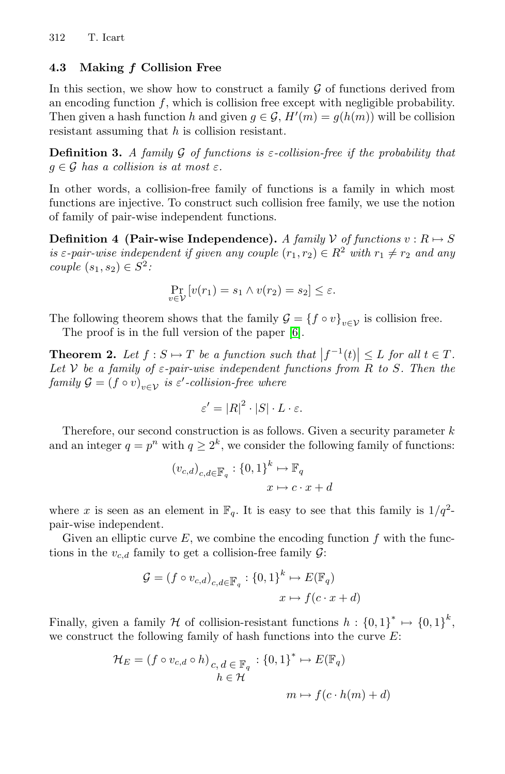#### **4.3 Making** *f* **Collision Free**

In this section, we show how to construct a family  $\mathcal G$  of functions derived from an encoding function  $f$ , which is collision free except with negligible probability. Then given a hash function h and given  $g \in \mathcal{G}$ ,  $H'(m) = g(h(m))$  will be collision resistant assuming that h is collision resistant.

**Definition 3.** *A family*  $\mathcal G$  *of functions is*  $\varepsilon$ -collision-free if the probability that  $g \in \mathcal{G}$  *has a collision is at most*  $\varepsilon$ *.* 

In other words, a collision-free family of functions is a family in which most functions are injective. To construct such collision free family, we use the notion of family of pair-wise indep[end](#page-12-6)ent functions.

**Definition 4 (Pair-wise Independence).** *A family*  $V$  *of functions*  $v : R \mapsto S$ *is*  $\varepsilon$ -pair-wise independent if given any couple  $(r_1, r_2) \in R^2$  *with*  $r_1 \neq r_2$  *and any couple*  $(s_1, s_2) \in S^2$ :

$$
\Pr_{v \in \mathcal{V}} \left[ v(r_1) = s_1 \wedge v(r_2) = s_2 \right] \le \varepsilon.
$$

The following theorem shows that the family  $\mathcal{G} = \{f \circ v\}_{v \in \mathcal{V}}$  is collision free. The proof is in the full version of the paper [6].

**Theorem 2.** Let  $f: S \to T$  be a function such that  $|f^{-1}(t)| \leq L$  for all  $t \in T$ . Let  $V$  be a family of  $\varepsilon$ -pair-wise independent functions from  $R$  to  $S$ . Then the  $family \mathcal{G} = (f \circ v)_{v \in \mathcal{V}} \text{ is } \varepsilon'$ -collision-free where

$$
\varepsilon' = |R|^2 \cdot |S| \cdot L \cdot \varepsilon.
$$

Therefore, our second construction is as follows. Given a security parameter  $k$ and an integer  $q = p^n$  with  $q \geq 2^k$ , we consider the following family of functions:

$$
(v_{c,d})_{c,d \in \mathbb{F}_q} : \{0,1\}^k \mapsto \mathbb{F}_q
$$

$$
x \mapsto c \cdot x + d
$$

where x is seen as an element in  $\mathbb{F}_q$ . It is easy to see that this family is  $1/q^2$ pair-wise independent.

Given an elliptic curve  $E$ , we combine the encoding function  $f$  with the functions in the  $v_{c,d}$  family to get a collision-free family  $\mathcal{G}$ :

$$
\mathcal{G} = (f \circ v_{c,d})_{c,d \in \mathbb{F}_q} : \{0,1\}^k \mapsto E(\mathbb{F}_q)
$$

$$
x \mapsto f(c \cdot x + d)
$$

Finally, given a family H of collision-resistant functions  $h: \{0,1\}^* \mapsto \{0,1\}^k$ , we construct the following family of hash functions into the curve  $E$ :

$$
\mathcal{H}_E = (f \circ v_{c,d} \circ h)_{c,d \in \mathbb{F}_q} : \{0,1\}^* \mapsto E(\mathbb{F}_q)
$$

$$
h \in \mathcal{H}
$$

$$
m \mapsto f(c \cdot h(m) + d)
$$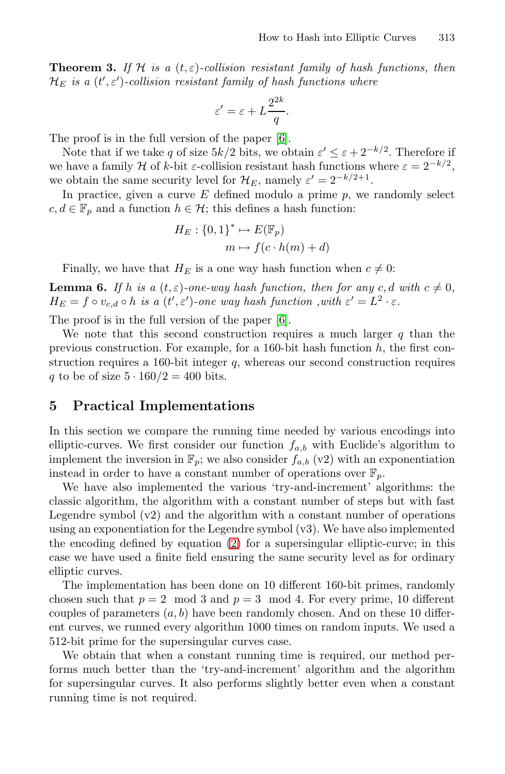**Theorem 3.** *If*  $H$  *is a*  $(t, \varepsilon)$ *-collision resistant family of hash functions, then*  $\mathcal{H}_E$  *is a* (*t'*, $\varepsilon$ ')-collision resistant family of hash functions where

$$
\varepsilon' = \varepsilon + L \frac{2^{2k}}{q}.
$$

The proof is in the full version of the paper [6].

Note that if we take q of size  $5k/2$  bits, we obtain  $\varepsilon' \leq \varepsilon + 2^{-k/2}$ . Therefore if we have a family H of k-bit  $\varepsilon$ -collision resistant hash functions where  $\varepsilon = 2^{-k/2}$ , we obtain the same security level for  $\mathcal{H}_E$ , namely  $\varepsilon' = 2^{-k/2+1}$ .

In practice, given a curve  $E$  defined modulo a prime  $p$ , we randomly select  $c, d \in \mathbb{F}_p$  and a function  $h \in \mathcal{H}$ ; this defines a hash function:

$$
H_E: \{0,1\}^* \mapsto E(\mathbb{F}_p)
$$

$$
m \mapsto f(c \cdot h(m) + d)
$$

Finally, we have that  $H_E$  is a one way hash function when  $c \neq 0$ :

**Lemma 6.** *If* h *is a*  $(t, \varepsilon)$ -one-way hash function, then for any  $c, d$  with  $c \neq 0$ ,  $H_E = f \circ v_{c,d} \circ h$  *is a*  $(t', \varepsilon')$ -one way hash function , with  $\varepsilon' = L^2 \cdot \varepsilon$ .

The proof is in the full version of the paper [6].

We note that this second construction requires a much larger  $q$  than the previous construction. For example, for a 160-bit hash function  $h$ , the first construction requires a 160-bit integer  $q$ , whereas our second construction requires q to be of size  $5 \cdot 160/2 = 400$  bits.

## **5 Practical Implementations**

In this section [we](#page-2-1) compare the running time needed by various encodings into elliptic-curves. We first consider our function  $f_{a,b}$  with Euclide's algorithm to implement the inversion in  $\mathbb{F}_p$ ; we also consider  $f_{a,b}$  (v2) with an exponentiation instead in order to have a constant number of operations over  $\mathbb{F}_p$ .

We have also implemented the various 'try-and-increment' algorithms: the classic algorithm, the algorithm with a constant number of steps but with fast Legendre symbol (v2) and the algorithm with a constant number of operations using an exponentiation for the Legendre symbol  $(v3)$ . We have also implemented the encoding defined by equation (2) for a supersingular elliptic-curve; in this case we have used a finite field ensuring the same security level as for ordinary elliptic curves.

The implementation has been done on 10 different 160-bit primes, randomly chosen such that  $p = 2 \mod 3$  and  $p = 3 \mod 4$ . For every prime, 10 different couples of parameters  $(a, b)$  have been randomly chosen. And on these 10 different curves, we runned every algorithm 1000 times on random inputs. We used a 512-bit prime for the supersingular curves case.

We obtain that when a constant running time is required, our method performs much better than the 'try-and-increment' algorithm and the algorithm for supersingular curves. It also performs slightly better even when a constant running time is not required.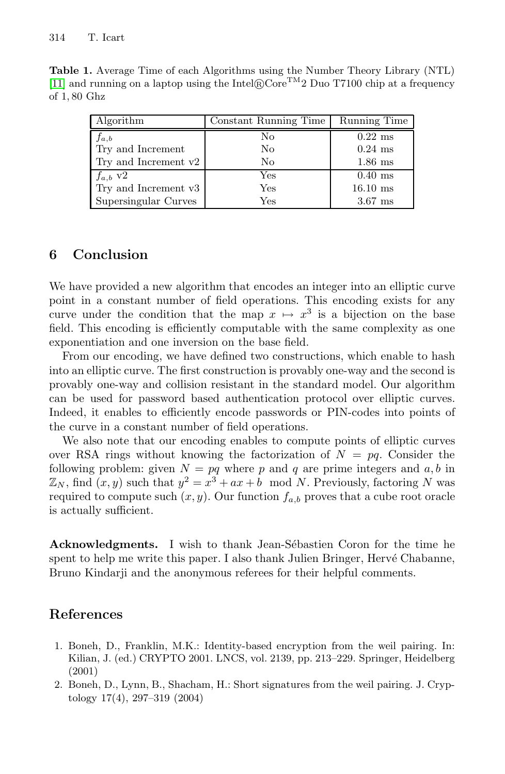**Table 1.** Average Time of each Algorithms using the Number Theory Library (NTL) [11] and running on a laptop using the Intel $\textcircled{R} \text{Core}^{\text{TM}}$ 2 Duo T7100 chip at a frequency of 1*,* 80 Ghz

| Algorithm            | Constant Running Time | Running Time |
|----------------------|-----------------------|--------------|
| $f_{a,b}$            | No                    | $0.22$ ms    |
| Try and Increment    | No                    | $0.24$ ms    |
| Try and Increment v2 | No                    | $1.86$ ms    |
| $f_{a,b}$ v2         | $_{\rm Yes}$          | $0.40$ ms    |
| Try and Increment v3 | Yes                   | $16.10$ ms   |
| Supersingular Curves | Yes                   | $3.67$ ms    |

### **6 Conclusion**

We have provided a new algorithm that encodes an integer into an elliptic curve point in a constant number of field operations. This encoding exists for any curve under the condition that the map  $x \mapsto x^3$  is a bijection on the base field. This encoding is efficiently computable with the same complexity as one exponentiation and one inversion on the base field.

From our encoding, we have defined two constructions, which enable to hash into an elliptic curve. The first construction is provably one-way and the second is provably one-way and collision resistant in the standard model. Our algorithm can be used for password based authentication protocol over elliptic curves. Indeed, it enables to efficiently encode passwords or PIN-codes into points of the curve in a constant number of field operations.

We also note that our encoding enables to compute points of elliptic curves over RSA rings without knowing the factorization of  $N = pq$ . Consider the following problem: given  $N = pq$  where p and q are prime integers and  $a, b$  in  $\mathbb{Z}_N$ , find  $(x, y)$  such that  $y^2 = x^3 + ax + b \mod N$ . Previously, factoring N was required to compute such  $(x, y)$ . Our function  $f_{a,b}$  proves that a cube root oracle is actually sufficient.

<span id="page-11-1"></span><span id="page-11-0"></span>**Acknowledgments.** I wish to thank Jean-Sébastien Coron for the time he spent to help me write this paper. I also thank Julien Bringer, Hervé Chabanne, Bruno Kindarji and the anonymous referees for their helpful comments.

### **References**

- 1. Boneh, D., Franklin, M.K.: Identity-based encryption from the weil pairing. In: Kilian, J. (ed.) CRYPTO 2001. LNCS, vol. 2139, pp. 213–229. Springer, Heidelberg (2001)
- 2. Boneh, D., Lynn, B., Shacham, H.: Short signatures from the weil pairing. J. Cryptology 17(4), 297–319 (2004)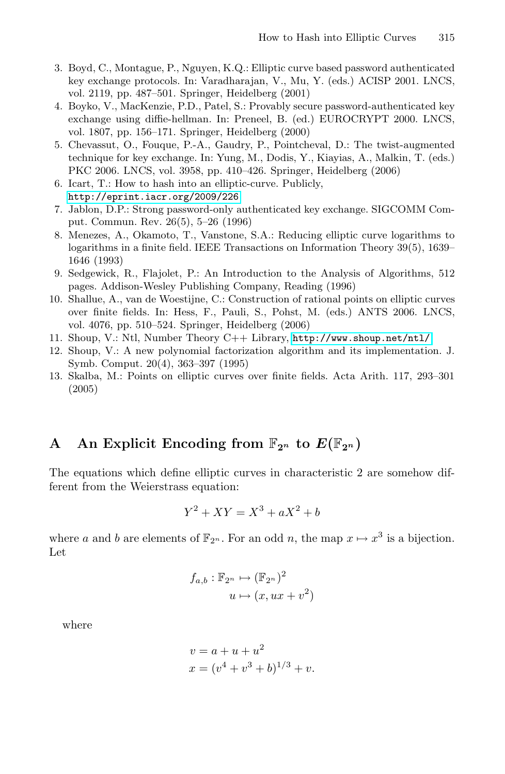- <span id="page-12-6"></span><span id="page-12-4"></span><span id="page-12-1"></span>3. Boyd, C., Montague, P., Nguyen, K.Q.: Elliptic curve based password authenticated key exchange protocols. In: Varadharajan, V., Mu, Y. (eds.) ACISP 2001. LNCS, [vol.](http://eprint.iacr.org/2009/226) [2119,](http://eprint.iacr.org/2009/226) [pp.](http://eprint.iacr.org/2009/226) [48](http://eprint.iacr.org/2009/226)7–501. Springer, Heidelberg (2001)
- <span id="page-12-0"></span>4. Boyko, V., MacKenzie, P.D., Patel, S.: Provably secure password-authenticated key exchange using diffie-hellman. In: Preneel, B. (ed.) EUROCRYPT 2000. LNCS, vol. 1807, pp. 156–171. Springer, Heidelberg (2000)
- 5. Chevassut, O., Fouque, P.-A., Gaudry, P., Pointcheval, D.: The twist-augmented technique for key exchange. In: Yung, M., Dodis, Y., Kiayias, A., Malkin, T. (eds.) PKC 2006. LNCS, vol. 3958, pp. 410–426. Springer, Heidelberg (2006)
- <span id="page-12-2"></span>6. Icart, T.: How to hash into an elliptic-curve. Publicly,
- 7. Jablon, D.P.: Strong password-only authenticated key exchange. SIGCOMM Comput. Commun. Rev. 26(5), 5–26 (1996)
- 8. Menezes, A., Okamoto, T.[,](http://www.shoup.net/ntl/) [Vanstone,](http://www.shoup.net/ntl/) [S.A.:](http://www.shoup.net/ntl/) [Reducing](http://www.shoup.net/ntl/) [ell](http://www.shoup.net/ntl/)iptic curve logarithms to logarithms in a finite field. IEEE Transactions on Information Theory 39(5), 1639– 1646 (1993)
- <span id="page-12-3"></span>9. Sedgewick, R., Flajolet, P.: An Introduction to the Analysis of Algorithms, 512 pages. Addison-Wesley Publishing Company, Reading (1996)
- 10. Shallue, A., van de Woestijne, C.: Construction of rational points on elliptic curves over finite fields. In: Hess, F., Pauli, S., Pohst, M. (eds.) ANTS 2006. LNCS, vol. 4076, pp. 510–524. Springer, Heidelberg (2006)
- <span id="page-12-5"></span>11. Shoup, V.: Ntl, Number Theory C++ Library, http://www.shoup.net/ntl/
- 12. Shoup, V.: A new polynomial factorization algorithm and its implementation. J. Symb. Comput. 20(4), 363–397 (1995)
- 13. Skalba, M.: Points on elliptic curves over finite fields. Acta Arith. 117, 293–301 (2005)

# A An Explicit Encoding from  $\mathbb{F}_{2^n}$  to  $E(\mathbb{F}_{2^n})$

The equations which define elliptic curves in characteristic 2 are somehow different from the Weierstrass equation:

$$
Y^2 + XY = X^3 + aX^2 + b
$$

where a and b are elements of  $\mathbb{F}_{2^n}$ . For an odd n, the map  $x \mapsto x^3$  is a bijection. Let

$$
f_{a,b} : \mathbb{F}_{2^n} \mapsto (\mathbb{F}_{2^n})^2
$$

$$
u \mapsto (x, ux + v^2)
$$

where

$$
v = a + u + u2
$$
  

$$
x = (v4 + v3 + b)1/3 + v.
$$